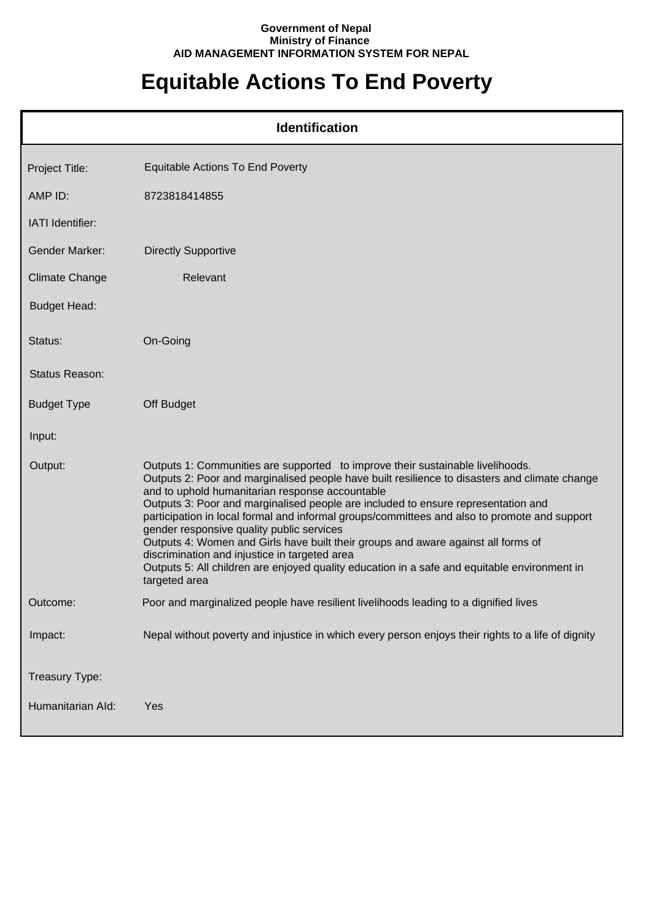## **Government of Nepal Ministry of Finance AID MANAGEMENT INFORMATION SYSTEM FOR NEPAL**

## **Equitable Actions To End Poverty**

|                       | <b>Identification</b>                                                                                                                                                                                                                                                                                                                                                                                                                                                                                                                                                                                                                                                                                                       |
|-----------------------|-----------------------------------------------------------------------------------------------------------------------------------------------------------------------------------------------------------------------------------------------------------------------------------------------------------------------------------------------------------------------------------------------------------------------------------------------------------------------------------------------------------------------------------------------------------------------------------------------------------------------------------------------------------------------------------------------------------------------------|
| Project Title:        | <b>Equitable Actions To End Poverty</b>                                                                                                                                                                                                                                                                                                                                                                                                                                                                                                                                                                                                                                                                                     |
| AMP ID:               | 8723818414855                                                                                                                                                                                                                                                                                                                                                                                                                                                                                                                                                                                                                                                                                                               |
| IATI Identifier:      |                                                                                                                                                                                                                                                                                                                                                                                                                                                                                                                                                                                                                                                                                                                             |
| Gender Marker:        | <b>Directly Supportive</b>                                                                                                                                                                                                                                                                                                                                                                                                                                                                                                                                                                                                                                                                                                  |
| <b>Climate Change</b> | Relevant                                                                                                                                                                                                                                                                                                                                                                                                                                                                                                                                                                                                                                                                                                                    |
| <b>Budget Head:</b>   |                                                                                                                                                                                                                                                                                                                                                                                                                                                                                                                                                                                                                                                                                                                             |
| Status:               | On-Going                                                                                                                                                                                                                                                                                                                                                                                                                                                                                                                                                                                                                                                                                                                    |
| Status Reason:        |                                                                                                                                                                                                                                                                                                                                                                                                                                                                                                                                                                                                                                                                                                                             |
| <b>Budget Type</b>    | Off Budget                                                                                                                                                                                                                                                                                                                                                                                                                                                                                                                                                                                                                                                                                                                  |
| Input:                |                                                                                                                                                                                                                                                                                                                                                                                                                                                                                                                                                                                                                                                                                                                             |
| Output:               | Outputs 1: Communities are supported to improve their sustainable livelihoods.<br>Outputs 2: Poor and marginalised people have built resilience to disasters and climate change<br>and to uphold humanitarian response accountable<br>Outputs 3: Poor and marginalised people are included to ensure representation and<br>participation in local formal and informal groups/committees and also to promote and support<br>gender responsive quality public services<br>Outputs 4: Women and Girls have built their groups and aware against all forms of<br>discrimination and injustice in targeted area<br>Outputs 5: All children are enjoyed quality education in a safe and equitable environment in<br>targeted area |
| Outcome:              | Poor and marginalized people have resilient livelihoods leading to a dignified lives                                                                                                                                                                                                                                                                                                                                                                                                                                                                                                                                                                                                                                        |
| Impact:               | Nepal without poverty and injustice in which every person enjoys their rights to a life of dignity                                                                                                                                                                                                                                                                                                                                                                                                                                                                                                                                                                                                                          |
| Treasury Type:        |                                                                                                                                                                                                                                                                                                                                                                                                                                                                                                                                                                                                                                                                                                                             |
| Humanitarian Ald:     | Yes                                                                                                                                                                                                                                                                                                                                                                                                                                                                                                                                                                                                                                                                                                                         |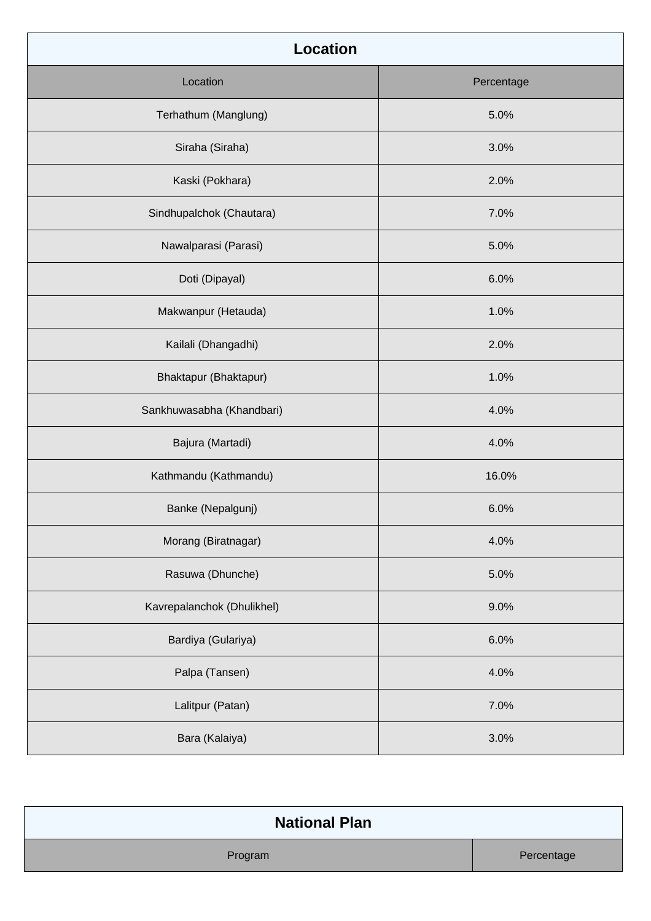| <b>Location</b>            |            |  |
|----------------------------|------------|--|
| Location                   | Percentage |  |
| Terhathum (Manglung)       | 5.0%       |  |
| Siraha (Siraha)            | 3.0%       |  |
| Kaski (Pokhara)            | 2.0%       |  |
| Sindhupalchok (Chautara)   | 7.0%       |  |
| Nawalparasi (Parasi)       | 5.0%       |  |
| Doti (Dipayal)             | 6.0%       |  |
| Makwanpur (Hetauda)        | 1.0%       |  |
| Kailali (Dhangadhi)        | 2.0%       |  |
| Bhaktapur (Bhaktapur)      | 1.0%       |  |
| Sankhuwasabha (Khandbari)  | 4.0%       |  |
| Bajura (Martadi)           | 4.0%       |  |
| Kathmandu (Kathmandu)      | 16.0%      |  |
| Banke (Nepalgunj)          | 6.0%       |  |
| Morang (Biratnagar)        | 4.0%       |  |
| Rasuwa (Dhunche)           | 5.0%       |  |
| Kavrepalanchok (Dhulikhel) | 9.0%       |  |
| Bardiya (Gulariya)         | 6.0%       |  |
| Palpa (Tansen)             | 4.0%       |  |
| Lalitpur (Patan)           | 7.0%       |  |
| Bara (Kalaiya)             | 3.0%       |  |

| <b>National Plan</b> |            |
|----------------------|------------|
| Program              | Percentage |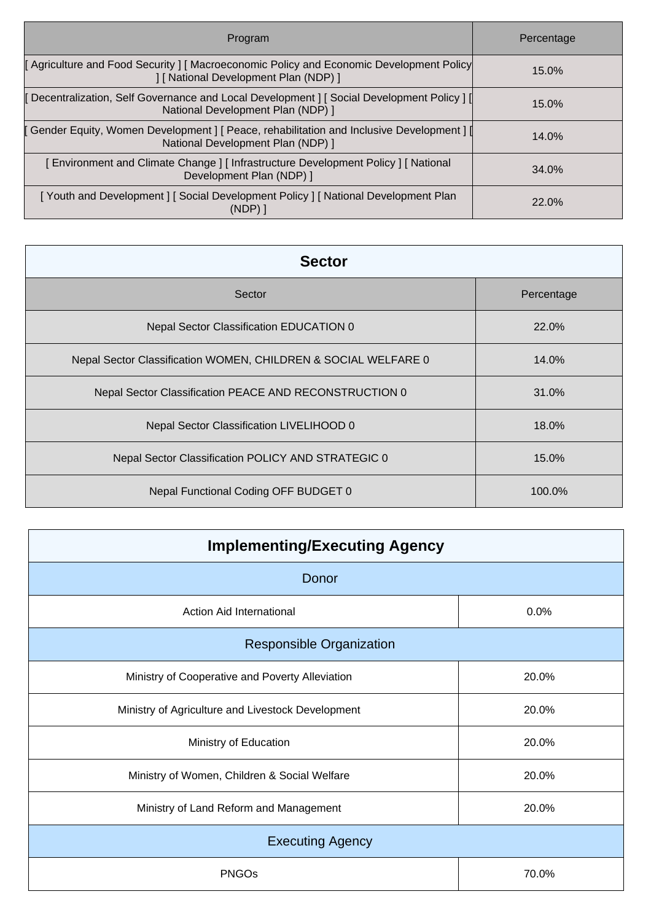| Program                                                                                                                          | Percentage |
|----------------------------------------------------------------------------------------------------------------------------------|------------|
| Agriculture and Food Security   Macroeconomic Policy and Economic Development Policy<br>] [ National Development Plan (NDP) ]    | 15.0%      |
| [ Decentralization, Self Governance and Local Development ] [ Social Development Policy ] [<br>National Development Plan (NDP) 1 | 15.0%      |
| [ Gender Equity, Women Development ] [ Peace, rehabilitation and Inclusive Development ] [<br>National Development Plan (NDP) 1  | 14.0%      |
| [Environment and Climate Change] [Infrastructure Development Policy] [National<br>Development Plan (NDP) ]                       | 34.0%      |
| [Youth and Development] [Social Development Policy] [National Development Plan<br>$(NDP)$ ]                                      | 22.0%      |

| <b>Sector</b>                                                  |            |  |
|----------------------------------------------------------------|------------|--|
| Sector                                                         | Percentage |  |
| Nepal Sector Classification EDUCATION 0                        | 22.0%      |  |
| Nepal Sector Classification WOMEN, CHILDREN & SOCIAL WELFARE 0 | 14.0%      |  |
| Nepal Sector Classification PEACE AND RECONSTRUCTION 0         | 31.0%      |  |
| Nepal Sector Classification LIVELIHOOD 0                       | 18.0%      |  |
| Nepal Sector Classification POLICY AND STRATEGIC 0             | 15.0%      |  |
| Nepal Functional Coding OFF BUDGET 0                           | 100.0%     |  |

| <b>Implementing/Executing Agency</b>              |       |  |
|---------------------------------------------------|-------|--|
| Donor                                             |       |  |
| <b>Action Aid International</b>                   | 0.0%  |  |
| <b>Responsible Organization</b>                   |       |  |
| Ministry of Cooperative and Poverty Alleviation   | 20.0% |  |
| Ministry of Agriculture and Livestock Development | 20.0% |  |
| Ministry of Education                             | 20.0% |  |
| Ministry of Women, Children & Social Welfare      | 20.0% |  |
| Ministry of Land Reform and Management            | 20.0% |  |
| <b>Executing Agency</b>                           |       |  |
| <b>PNGOs</b>                                      | 70.0% |  |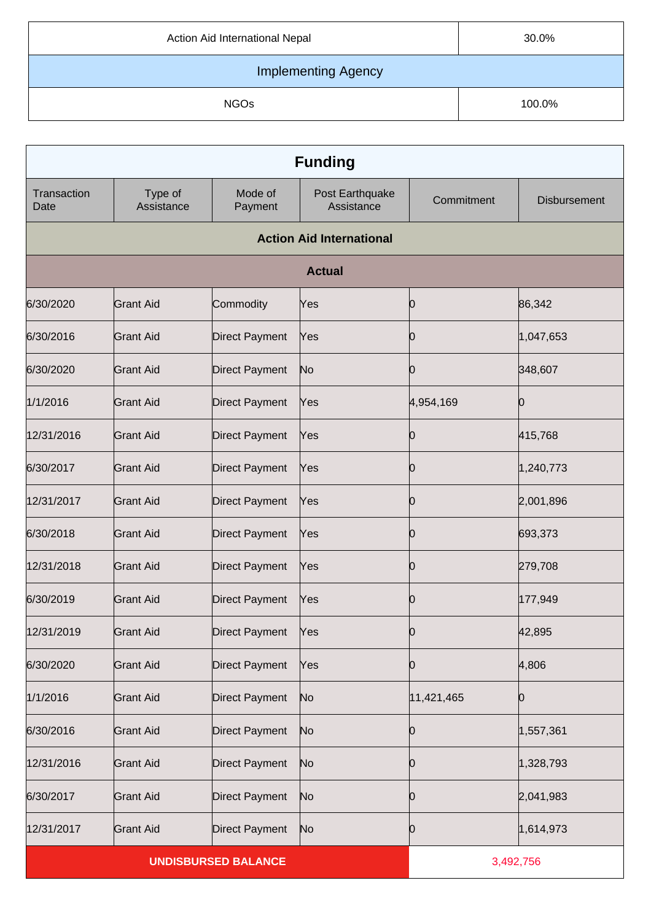| Action Aid International Nepal | 30.0%  |  |
|--------------------------------|--------|--|
| <b>Implementing Agency</b>     |        |  |
| <b>NGOs</b>                    | 100.0% |  |

| <b>Funding</b>      |                       |                            |                                 |            |                     |
|---------------------|-----------------------|----------------------------|---------------------------------|------------|---------------------|
| Transaction<br>Date | Type of<br>Assistance | Mode of<br>Payment         | Post Earthquake<br>Assistance   | Commitment | <b>Disbursement</b> |
|                     |                       |                            | <b>Action Aid International</b> |            |                     |
|                     |                       |                            | <b>Actual</b>                   |            |                     |
| 6/30/2020           | <b>Grant Aid</b>      | Commodity                  | Yes                             | 10         | 86,342              |
| 6/30/2016           | <b>Grant Aid</b>      | <b>Direct Payment</b>      | Yes                             | Ю          | 1,047,653           |
| 6/30/2020           | <b>Grant Aid</b>      | <b>Direct Payment</b>      | No                              | Ŋ          | 348,607             |
| 1/1/2016            | <b>Grant Aid</b>      | <b>Direct Payment</b>      | Yes                             | 4,954,169  | 10                  |
| 12/31/2016          | <b>Grant Aid</b>      | <b>Direct Payment</b>      | Yes                             | O          | 415,768             |
| 6/30/2017           | <b>Grant Aid</b>      | <b>Direct Payment</b>      | Yes                             | Ю          | 1,240,773           |
| 12/31/2017          | <b>Grant Aid</b>      | <b>Direct Payment</b>      | Yes                             | N          | 2,001,896           |
| 6/30/2018           | <b>Grant Aid</b>      | <b>Direct Payment</b>      | Yes                             | Ю          | 693,373             |
| 12/31/2018          | <b>Grant Aid</b>      | <b>Direct Payment</b>      | Yes                             | O          | 279,708             |
| 6/30/2019           | <b>Grant Aid</b>      | <b>Direct Payment</b>      | Yes                             | Ю          | 177,949             |
| 12/31/2019          | Grant Aid             | Direct Payment             | Yes                             | 0          | 42,895              |
| 6/30/2020           | <b>Grant Aid</b>      | <b>Direct Payment</b>      | Yes                             | Ю          | 4,806               |
| 1/1/2016            | <b>Grant Aid</b>      | <b>Direct Payment</b>      | No                              | 11,421,465 | Ю                   |
| 6/30/2016           | <b>Grant Aid</b>      | <b>Direct Payment</b>      | N <sub>o</sub>                  | Ю          | 1,557,361           |
| 12/31/2016          | <b>Grant Aid</b>      | <b>Direct Payment</b>      | No                              | 0          | 1,328,793           |
| 6/30/2017           | <b>Grant Aid</b>      | <b>Direct Payment</b>      | No                              | 10         | 2,041,983           |
| 12/31/2017          | <b>Grant Aid</b>      | <b>Direct Payment</b>      | No                              | U          | 1,614,973           |
|                     |                       | <b>UNDISBURSED BALANCE</b> |                                 | 3,492,756  |                     |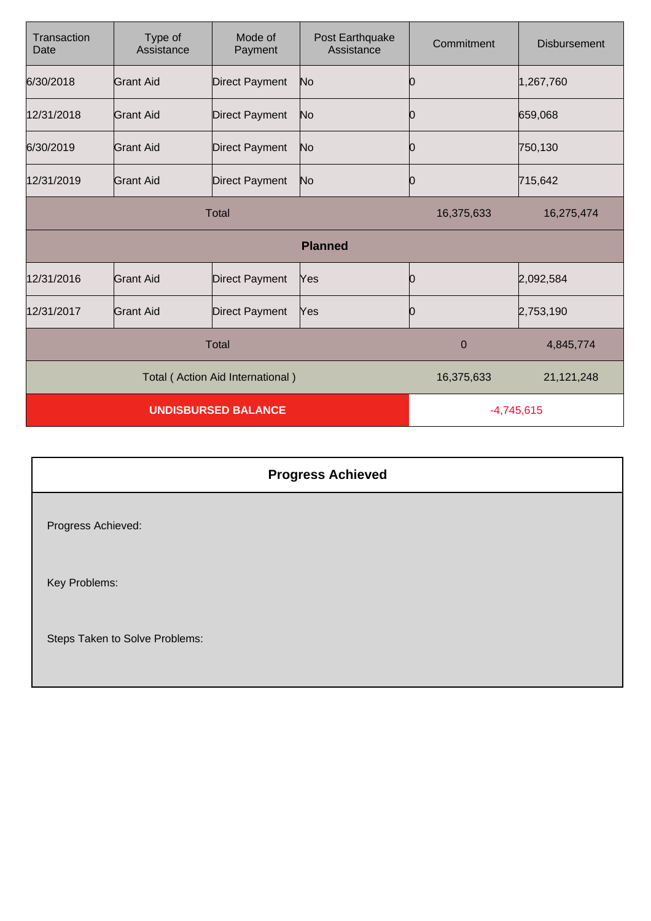| Transaction<br>Date | Type of<br>Assistance      | Mode of<br>Payment               | Post Earthquake<br>Assistance | Commitment   | <b>Disbursement</b> |
|---------------------|----------------------------|----------------------------------|-------------------------------|--------------|---------------------|
| 6/30/2018           | Grant Aid                  | <b>Direct Payment</b>            | N <sub>o</sub>                | Ю            | 1,267,760           |
| 12/31/2018          | Grant Aid                  | <b>Direct Payment</b>            | No                            | 10           | 659,068             |
| 6/30/2019           | Grant Aid                  | <b>Direct Payment</b>            | No                            | 10           | 750,130             |
| 12/31/2019          | Grant Aid                  | <b>Direct Payment</b>            | No                            | 0            | 715,642             |
| <b>Total</b>        |                            |                                  | 16,375,633                    | 16,275,474   |                     |
|                     |                            |                                  | <b>Planned</b>                |              |                     |
| 12/31/2016          | <b>Grant Aid</b>           | <b>Direct Payment</b>            | Yes                           | 0            | 2,092,584           |
| 12/31/2017          | <b>Grant Aid</b>           | <b>Direct Payment</b>            | Yes                           | Ю            | 2,753,190           |
| <b>Total</b>        |                            |                                  | $\mathbf 0$                   | 4,845,774    |                     |
|                     |                            | Total (Action Aid International) |                               | 16,375,633   | 21,121,248          |
|                     | <b>UNDISBURSED BALANCE</b> |                                  |                               | $-4,745,615$ |                     |

|                                | <b>Progress Achieved</b> |
|--------------------------------|--------------------------|
| Progress Achieved:             |                          |
| Key Problems:                  |                          |
| Steps Taken to Solve Problems: |                          |